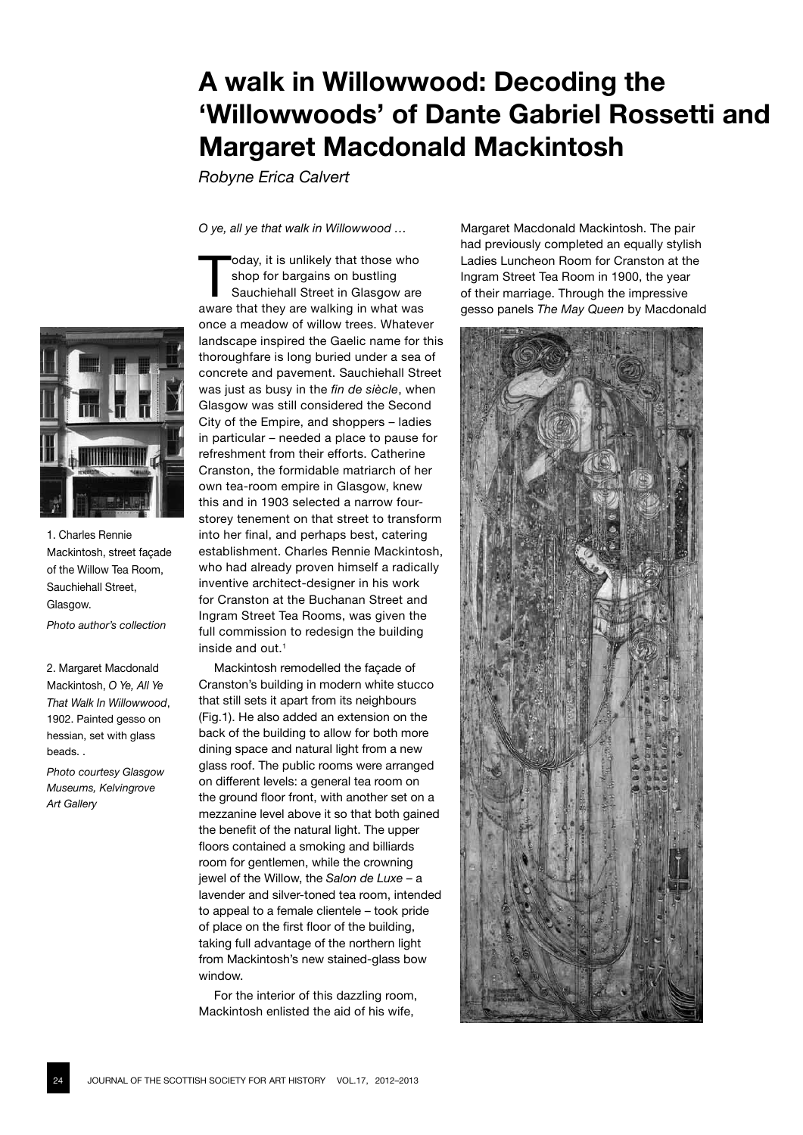## JOURNAL OF THE SCOTTISH SOCIETY FOR ART HISTORY VOL.17, 2012-2013

# **A walk in Willowwood: Decoding the 'Willowwoods' of Dante Gabriel Rossetti and Margaret Macdonald Mackintosh**

*Robyne Erica Calvert*

*O ye, all ye that walk in Willowwood …*

Today, it is unlikely that those who<br>
shop for bargains on bustling<br>
Sauchiehall Street in Glasgow are shop for bargains on bustling aware that they are walking in what was once a meadow of willow trees. Whatever landscape inspired the Gaelic name for this thoroughfare is long buried under a sea of concrete and pavement. Sauchiehall Street was just as busy in the *fin de siècle*, when Glasgow was still considered the Second City of the Empire, and shoppers – ladies in particular – needed a place to pause for refreshment from their efforts. Catherine Cranston, the formidable matriarch of her own tea-room empire in Glasgow, knew this and in 1903 selected a narrow fourstorey tenement on that street to transform into her final, and perhaps best, catering establishment. Charles Rennie Mackintosh, who had already proven himself a radically inventive architect-designer in his work for Cranston at the Buchanan Street and Ingram Street Tea Rooms, was given the full commission to redesign the building inside and out.<sup>1</sup>

Mackintosh remodelled the façade of Cranston's building in modern white stucco that still sets it apart from its neighbours (Fig.1). He also added an extension on the back of the building to allow for both more dining space and natural light from a new glass roof. The public rooms were arranged on different levels: a general tea room on the ground floor front, with another set on a mezzanine level above it so that both gained the benefit of the natural light. The upper floors contained a smoking and billiards room for gentlemen, while the crowning jewel of the Willow, the *Salon de Luxe –* a lavender and silver-toned tea room, intended to appeal to a female clientele – took pride of place on the first floor of the building, taking full advantage of the northern light from Mackintosh's new stained-glass bow window.

For the interior of this dazzling room, Mackintosh enlisted the aid of his wife,

Margaret Macdonald Mackintosh. The pair had previously completed an equally stylish Ladies Luncheon Room for Cranston at the Ingram Street Tea Room in 1900, the year of their marriage. Through the impressive gesso panels *The May Queen* by Macdonald





1. Charles Rennie Mackintosh, street façade of the Willow Tea Room, Sauchiehall Street, Glasgow.

*Photo author's collection*

2. Margaret Macdonald Mackintosh, *O Ye, All Ye That Walk In Willowwood*, 1902. Painted gesso on hessian, set with glass beads. .

*Photo courtesy Glasgow Museums, Kelvingrove Art Gallery*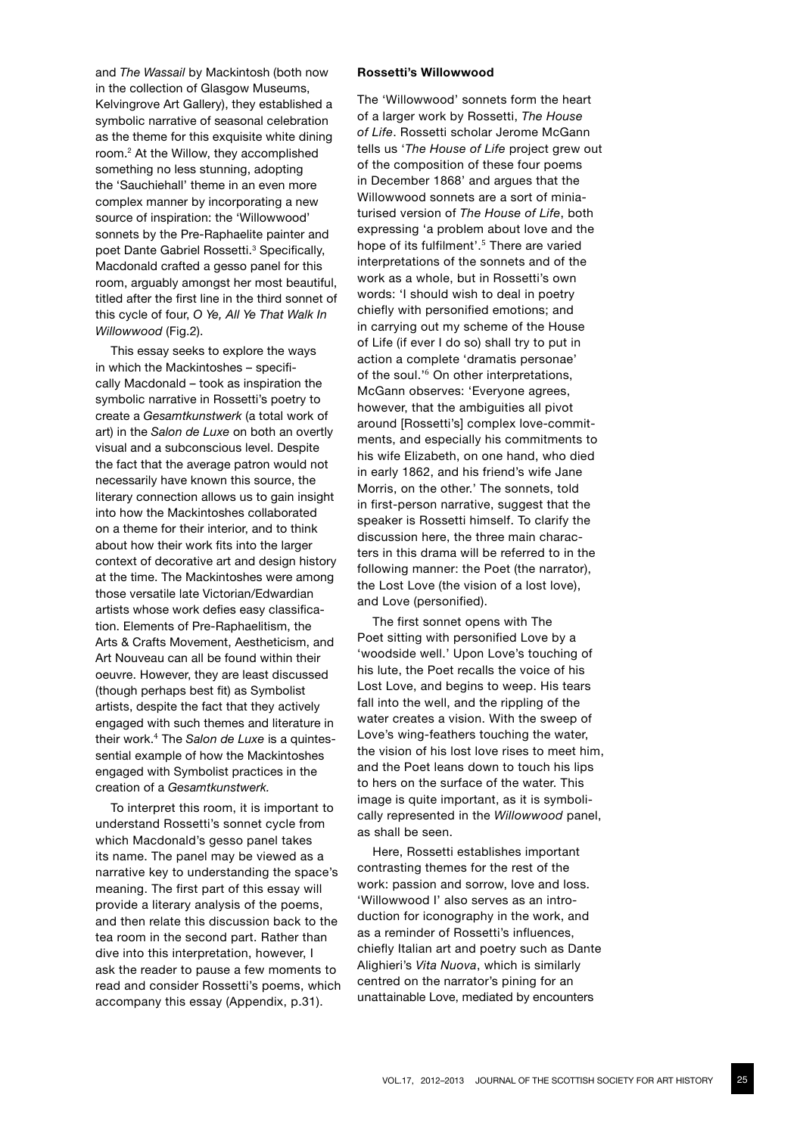and *The Wassail* by Mackintosh (both now in the collection of Glasgow Museums, Kelvingrove Art Gallery), they established a symbolic narrative of seasonal celebration as the theme for this exquisite white dining room.2 At the Willow, they accomplished something no less stunning, adopting the 'Sauchiehall' theme in an even more complex manner by incorporating a new source of inspiration: the 'Willowwood' sonnets by the Pre-Raphaelite painter and poet Dante Gabriel Rossetti.<sup>3</sup> Specifically, Macdonald crafted a gesso panel for this room, arguably amongst her most beautiful, titled after the first line in the third sonnet of this cycle of four, *O Ye, All Ye That Walk In Willowwood* (Fig.2).

This essay seeks to explore the ways in which the Mackintoshes – specifically Macdonald – took as inspiration the symbolic narrative in Rossetti's poetry to create a *Gesamtkunstwerk* (a total work of art) in the *Salon de Luxe* on both an overtly visual and a subconscious level. Despite the fact that the average patron would not necessarily have known this source, the literary connection allows us to gain insight into how the Mackintoshes collaborated on a theme for their interior, and to think about how their work fits into the larger context of decorative art and design history at the time. The Mackintoshes were among those versatile late Victorian/Edwardian artists whose work defies easy classification. Elements of Pre-Raphaelitism, the Arts & Crafts Movement, Aestheticism, and Art Nouveau can all be found within their oeuvre. However, they are least discussed (though perhaps best fit) as Symbolist artists, despite the fact that they actively engaged with such themes and literature in their work.<sup>4</sup> The *Salon de Luxe* is a quintessential example of how the Mackintoshes engaged with Symbolist practices in the creation of a *Gesamtkunstwerk.* 

To interpret this room, it is important to understand Rossetti's sonnet cycle from which Macdonald's gesso panel takes its name. The panel may be viewed as a narrative key to understanding the space's meaning. The first part of this essay will provide a literary analysis of the poems, and then relate this discussion back to the tea room in the second part. Rather than dive into this interpretation, however, I ask the reader to pause a few moments to read and consider Rossetti's poems, which accompany this essay (Appendix, p.31).

## **Rossetti's Willowwood**

The 'Willowwood' sonnets form the heart of a larger work by Rossetti, *The House of Life*. Rossetti scholar Jerome McGann tells us '*The House of Life* project grew out of the composition of these four poems in December 1868' and argues that the Willowwood sonnets are a sort of miniaturised version of *The House of Life*, both expressing 'a problem about love and the hope of its fulfilment'.<sup>5</sup> There are varied interpretations of the sonnets and of the work as a whole, but in Rossetti's own words: 'I should wish to deal in poetry chiefly with personified emotions; and in carrying out my scheme of the House of Life (if ever I do so) shall try to put in action a complete 'dramatis personae' of the soul.<sup>'6</sup> On other interpretations, McGann observes: 'Everyone agrees, however, that the ambiguities all pivot around [Rossetti's] complex love-commitments, and especially his commitments to his wife Elizabeth, on one hand, who died in early 1862, and his friend's wife Jane Morris, on the other.' The sonnets, told in first-person narrative, suggest that the speaker is Rossetti himself. To clarify the discussion here, the three main characters in this drama will be referred to in the following manner: the Poet (the narrator), the Lost Love (the vision of a lost love), and Love (personified).

The first sonnet opens with The Poet sitting with personified Love by a 'woodside well.' Upon Love's touching of his lute, the Poet recalls the voice of his Lost Love, and begins to weep. His tears fall into the well, and the rippling of the water creates a vision. With the sweep of Love's wing-feathers touching the water, the vision of his lost love rises to meet him, and the Poet leans down to touch his lips to hers on the surface of the water. This image is quite important, as it is symbolically represented in the *Willowwood* panel, as shall be seen.

Here, Rossetti establishes important contrasting themes for the rest of the work: passion and sorrow, love and loss. 'Willowwood I' also serves as an introduction for iconography in the work, and as a reminder of Rossetti's influences, chiefly Italian art and poetry such as Dante Alighieri's *Vita Nuova*, which is similarly centred on the narrator's pining for an unattainable Love, mediated by encounters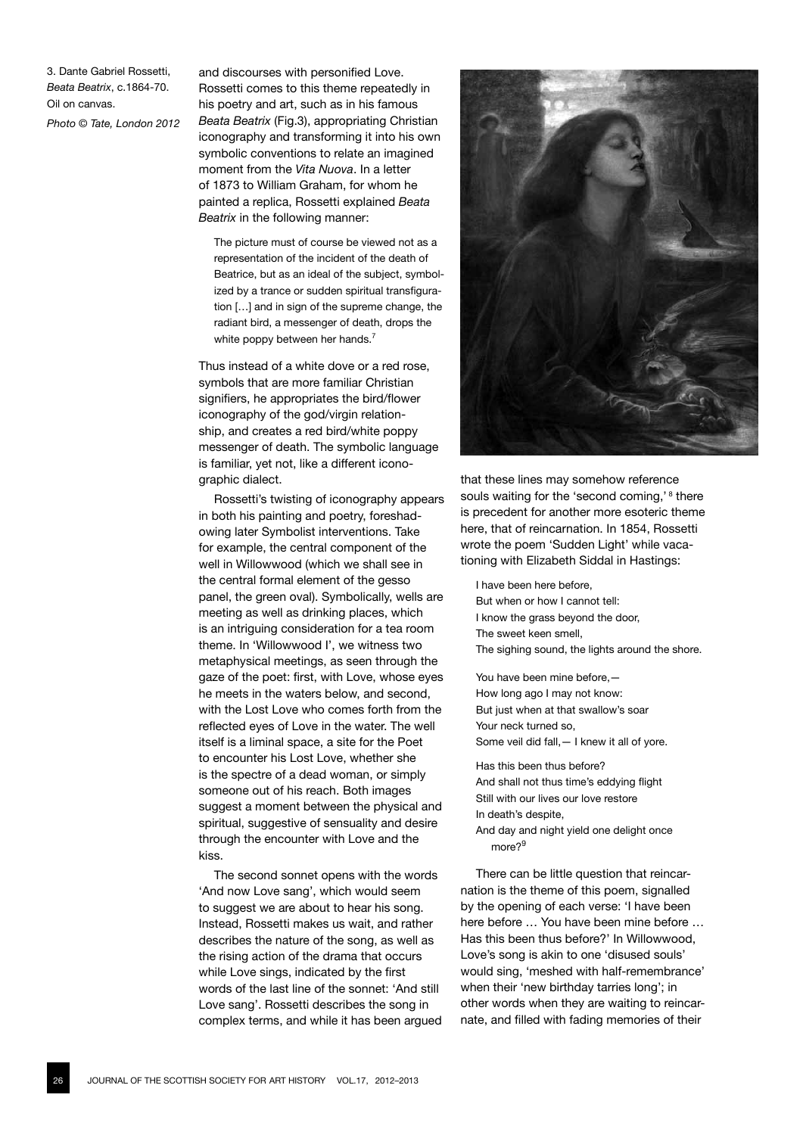3. Dante Gabriel Rossetti, *Beata Beatrix*, c.1864-70. Oil on canvas.

*Photo © Tate, London 2012*

and discourses with personified Love. Rossetti comes to this theme repeatedly in his poetry and art, such as in his famous *Beata Beatrix* (Fig.3), appropriating Christian iconography and transforming it into his own symbolic conventions to relate an imagined moment from the *Vita Nuova*. In a letter of 1873 to William Graham, for whom he painted a replica, Rossetti explained *Beata Beatrix* in the following manner:

The picture must of course be viewed not as a representation of the incident of the death of Beatrice, but as an ideal of the subject, symbolized by a trance or sudden spiritual transfiguration [...] and in sign of the supreme change, the radiant bird, a messenger of death, drops the white poppy between her hands.<sup>7</sup>

Thus instead of a white dove or a red rose, symbols that are more familiar Christian signifiers, he appropriates the bird/flower iconography of the god/virgin relationship, and creates a red bird/white poppy messenger of death. The symbolic language is familiar, yet not, like a different iconographic dialect.

Rossetti's twisting of iconography appears in both his painting and poetry, foreshadowing later Symbolist interventions. Take for example, the central component of the well in Willowwood (which we shall see in the central formal element of the gesso panel, the green oval). Symbolically, wells are meeting as well as drinking places, which is an intriguing consideration for a tea room theme. In 'Willowwood I', we witness two metaphysical meetings, as seen through the gaze of the poet: first, with Love, whose eyes he meets in the waters below, and second, with the Lost Love who comes forth from the reflected eyes of Love in the water. The well itself is a liminal space, a site for the Poet to encounter his Lost Love, whether she is the spectre of a dead woman, or simply someone out of his reach. Both images suggest a moment between the physical and spiritual, suggestive of sensuality and desire through the encounter with Love and the kiss.

The second sonnet opens with the words 'And now Love sang', which would seem to suggest we are about to hear his song. Instead, Rossetti makes us wait, and rather describes the nature of the song, as well as the rising action of the drama that occurs while Love sings, indicated by the first words of the last line of the sonnet: 'And still Love sang'. Rossetti describes the song in complex terms, and while it has been argued



that these lines may somehow reference souls waiting for the 'second coming,'<sup>8</sup> there is precedent for another more esoteric theme here, that of reincarnation. In 1854, Rossetti wrote the poem 'Sudden Light' while vacationing with Elizabeth Siddal in Hastings:

I have been here before, But when or how I cannot tell: I know the grass beyond the door, The sweet keen smell, The sighing sound, the lights around the shore.

You have been mine before,— How long ago I may not know: But just when at that swallow's soar Your neck turned so, Some veil did fall,— I knew it all of yore.

Has this been thus before? And shall not thus time's eddying flight Still with our lives our love restore In death's despite,

And day and night yield one delight once more?<sup>9</sup>

There can be little question that reincarnation is the theme of this poem, signalled by the opening of each verse: 'I have been here before … You have been mine before … Has this been thus before?' In Willowwood, Love's song is akin to one 'disused souls' would sing, 'meshed with half-remembrance' when their 'new birthday tarries long'; in other words when they are waiting to reincarnate, and filled with fading memories of their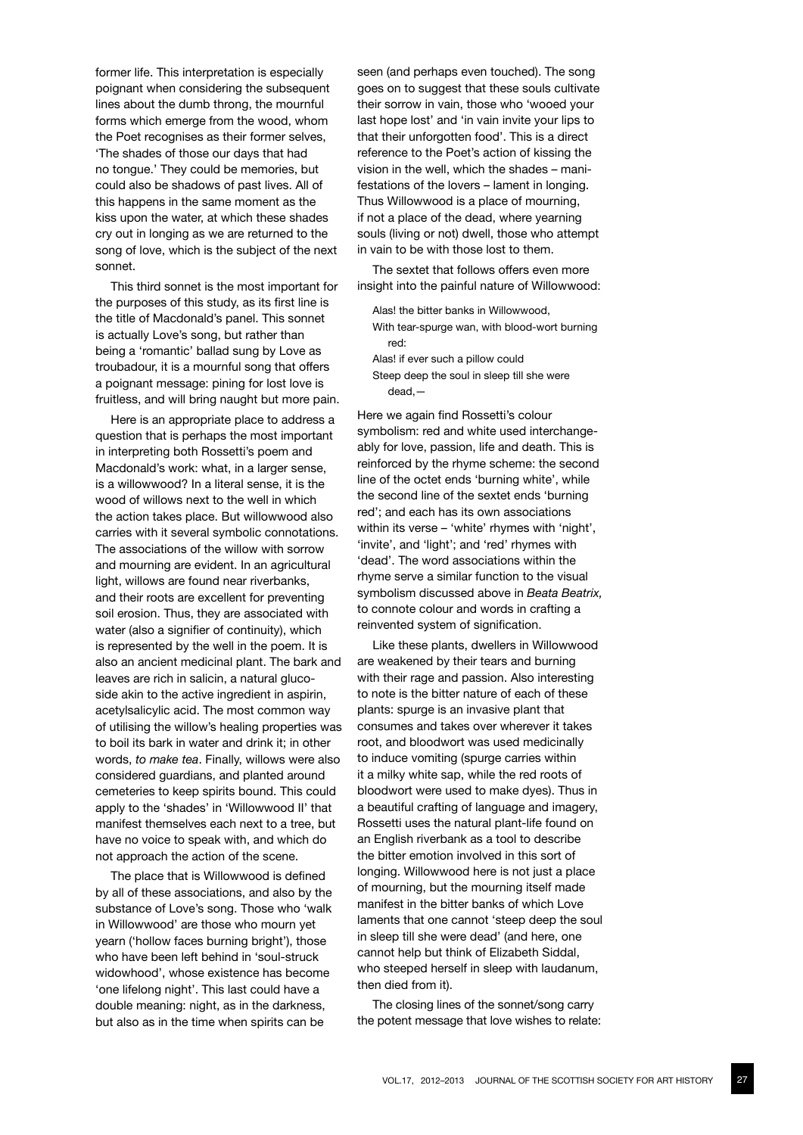former life. This interpretation is especially poignant when considering the subsequent lines about the dumb throng, the mournful forms which emerge from the wood, whom the Poet recognises as their former selves, 'The shades of those our days that had no tongue.' They could be memories, but could also be shadows of past lives. All of this happens in the same moment as the kiss upon the water, at which these shades cry out in longing as we are returned to the song of love, which is the subject of the next sonnet.

This third sonnet is the most important for the purposes of this study, as its first line is the title of Macdonald's panel. This sonnet is actually Love's song, but rather than being a 'romantic' ballad sung by Love as troubadour, it is a mournful song that offers a poignant message: pining for lost love is fruitless, and will bring naught but more pain.

Here is an appropriate place to address a question that is perhaps the most important in interpreting both Rossetti's poem and Macdonald's work: what, in a larger sense, is a willowwood? In a literal sense, it is the wood of willows next to the well in which the action takes place. But willowwood also carries with it several symbolic connotations. The associations of the willow with sorrow and mourning are evident. In an agricultural light, willows are found near riverbanks, and their roots are excellent for preventing soil erosion. Thus, they are associated with water (also a signifier of continuity), which is represented by the well in the poem. It is also an ancient medicinal plant. The bark and leaves are rich in salicin, a natural glucoside akin to the active ingredient in aspirin, acetylsalicylic acid. The most common way of utilising the willow's healing properties was to boil its bark in water and drink it; in other words, *to make tea*. Finally, willows were also considered guardians, and planted around cemeteries to keep spirits bound. This could apply to the 'shades' in 'Willowwood II' that manifest themselves each next to a tree, but have no voice to speak with, and which do not approach the action of the scene.

The place that is Willowwood is defined by all of these associations, and also by the substance of Love's song. Those who 'walk in Willowwood' are those who mourn yet yearn ('hollow faces burning bright'), those who have been left behind in 'soul-struck widowhood', whose existence has become 'one lifelong night'. This last could have a double meaning: night, as in the darkness, but also as in the time when spirits can be

seen (and perhaps even touched). The song goes on to suggest that these souls cultivate their sorrow in vain, those who 'wooed your last hope lost' and 'in vain invite your lips to that their unforgotten food'. This is a direct reference to the Poet's action of kissing the vision in the well, which the shades – manifestations of the lovers – lament in longing. Thus Willowwood is a place of mourning, if not a place of the dead, where yearning souls (living or not) dwell, those who attempt in vain to be with those lost to them.

The sextet that follows offers even more insight into the painful nature of Willowwood:

- Alas! the bitter banks in Willowwood, With tear-spurge wan, with blood-wort burning red:
- Alas! if ever such a pillow could Steep deep the soul in sleep till she were
	- dead,—

Here we again find Rossetti's colour symbolism: red and white used interchangeably for love, passion, life and death. This is reinforced by the rhyme scheme: the second line of the octet ends 'burning white', while the second line of the sextet ends 'burning red'; and each has its own associations within its verse – 'white' rhymes with 'night', 'invite', and 'light'; and 'red' rhymes with 'dead'. The word associations within the rhyme serve a similar function to the visual symbolism discussed above in *Beata Beatrix,*  to connote colour and words in crafting a reinvented system of signification.

Like these plants, dwellers in Willowwood are weakened by their tears and burning with their rage and passion. Also interesting to note is the bitter nature of each of these plants: spurge is an invasive plant that consumes and takes over wherever it takes root, and bloodwort was used medicinally to induce vomiting (spurge carries within it a milky white sap, while the red roots of bloodwort were used to make dyes). Thus in a beautiful crafting of language and imagery, Rossetti uses the natural plant-life found on an English riverbank as a tool to describe the bitter emotion involved in this sort of longing. Willowwood here is not just a place of mourning, but the mourning itself made manifest in the bitter banks of which Love laments that one cannot 'steep deep the soul in sleep till she were dead' (and here, one cannot help but think of Elizabeth Siddal, who steeped herself in sleep with laudanum, then died from it).

The closing lines of the sonnet/song carry the potent message that love wishes to relate: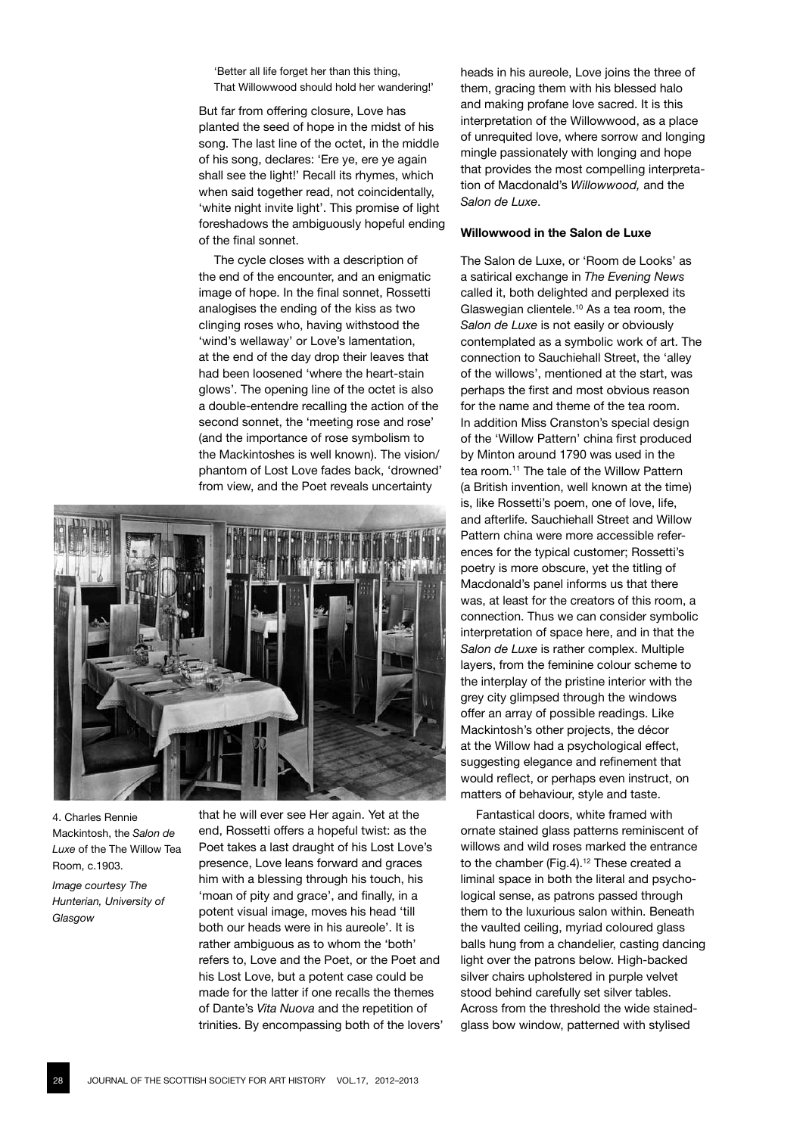'Better all life forget her than this thing, That Willowwood should hold her wandering!'

But far from offering closure, Love has planted the seed of hope in the midst of his song. The last line of the octet, in the middle of his song, declares: 'Ere ye, ere ye again shall see the light!' Recall its rhymes, which when said together read, not coincidentally, 'white night invite light'. This promise of light foreshadows the ambiguously hopeful ending of the final sonnet.

The cycle closes with a description of the end of the encounter, and an enigmatic image of hope. In the final sonnet, Rossetti analogises the ending of the kiss as two clinging roses who, having withstood the 'wind's wellaway' or Love's lamentation, at the end of the day drop their leaves that had been loosened 'where the heart-stain glows'. The opening line of the octet is also a double-entendre recalling the action of the second sonnet, the 'meeting rose and rose' (and the importance of rose symbolism to the Mackintoshes is well known). The vision/ phantom of Lost Love fades back, 'drowned' from view, and the Poet reveals uncertainty



4. Charles Rennie Mackintosh, the *Salon de Luxe* of the The Willow Tea Room, c.1903.

*Image courtesy The Hunterian, University of Glasgow*

that he will ever see Her again. Yet at the end, Rossetti offers a hopeful twist: as the Poet takes a last draught of his Lost Love's presence, Love leans forward and graces him with a blessing through his touch, his 'moan of pity and grace', and finally, in a potent visual image, moves his head 'till both our heads were in his aureole'. It is rather ambiguous as to whom the 'both' refers to, Love and the Poet, or the Poet and his Lost Love, but a potent case could be made for the latter if one recalls the themes of Dante's *Vita Nuova* and the repetition of trinities. By encompassing both of the lovers' heads in his aureole, Love joins the three of them, gracing them with his blessed halo and making profane love sacred. It is this interpretation of the Willowwood, as a place of unrequited love, where sorrow and longing mingle passionately with longing and hope that provides the most compelling interpretation of Macdonald's *Willowwood,* and the *Salon de Luxe*.

## **Willowwood in the Salon de Luxe**

The Salon de Luxe, or 'Room de Looks' as a satirical exchange in *The Evening News* called it, both delighted and perplexed its Glaswegian clientele.10 As a tea room, the *Salon de Luxe* is not easily or obviously contemplated as a symbolic work of art. The connection to Sauchiehall Street, the 'alley of the willows', mentioned at the start, was perhaps the first and most obvious reason for the name and theme of the tea room. In addition Miss Cranston's special design of the 'Willow Pattern' china first produced by Minton around 1790 was used in the tea room.<sup>11</sup> The tale of the Willow Pattern (a British invention, well known at the time) is, like Rossetti's poem, one of love, life, and afterlife. Sauchiehall Street and Willow Pattern china were more accessible references for the typical customer; Rossetti's poetry is more obscure, yet the titling of Macdonald's panel informs us that there was, at least for the creators of this room, a connection. Thus we can consider symbolic interpretation of space here, and in that the *Salon de Luxe* is rather complex. Multiple layers, from the feminine colour scheme to the interplay of the pristine interior with the grey city glimpsed through the windows offer an array of possible readings. Like Mackintosh's other projects, the décor at the Willow had a psychological effect, suggesting elegance and refinement that would reflect, or perhaps even instruct, on matters of behaviour, style and taste.

Fantastical doors, white framed with ornate stained glass patterns reminiscent of willows and wild roses marked the entrance to the chamber (Fig.4).<sup>12</sup> These created a liminal space in both the literal and psychological sense, as patrons passed through them to the luxurious salon within. Beneath the vaulted ceiling, myriad coloured glass balls hung from a chandelier, casting dancing light over the patrons below. High-backed silver chairs upholstered in purple velvet stood behind carefully set silver tables. Across from the threshold the wide stainedglass bow window, patterned with stylised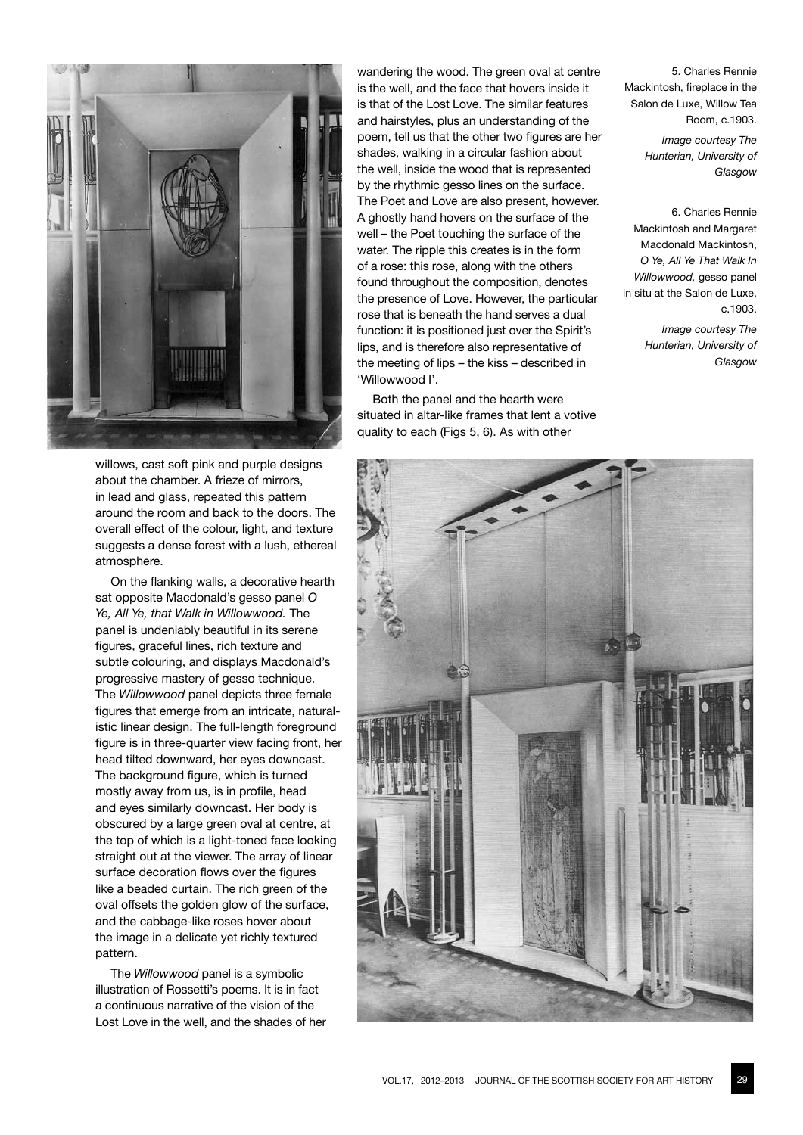

willows, cast soft pink and purple designs about the chamber. A frieze of mirrors, in lead and glass, repeated this pattern around the room and back to the doors. The overall effect of the colour, light, and texture suggests a dense forest with a lush, ethereal atmosphere.

On the flanking walls, a decorative hearth sat opposite Macdonald's gesso panel *O Ye, All Ye, that Walk in Willowwood.* The panel is undeniably beautiful in its serene figures, graceful lines, rich texture and subtle colouring, and displays Macdonald's progressive mastery of gesso technique. The *Willowwood* panel depicts three female figures that emerge from an intricate, naturalistic linear design. The full-length foreground figure is in three-quarter view facing front, her head tilted downward, her eyes downcast. The background figure, which is turned mostly away from us, is in profile, head and eyes similarly downcast. Her body is obscured by a large green oval at centre, at the top of which is a light-toned face looking straight out at the viewer. The array of linear surface decoration flows over the figures like a beaded curtain. The rich green of the oval offsets the golden glow of the surface, and the cabbage-like roses hover about the image in a delicate yet richly textured pattern.

The *Willowwood* panel is a symbolic illustration of Rossetti's poems. It is in fact a continuous narrative of the vision of the Lost Love in the well, and the shades of her

wandering the wood. The green oval at centre is the well, and the face that hovers inside it is that of the Lost Love. The similar features and hairstyles, plus an understanding of the poem, tell us that the other two figures are her shades, walking in a circular fashion about the well, inside the wood that is represented by the rhythmic gesso lines on the surface. The Poet and Love are also present, however. A ghostly hand hovers on the surface of the well – the Poet touching the surface of the water. The ripple this creates is in the form of a rose: this rose, along with the others found throughout the composition, denotes the presence of Love. However, the particular rose that is beneath the hand serves a dual function: it is positioned just over the Spirit's lips, and is therefore also representative of the meeting of lips – the kiss – described in 'Willowwood I'.

Both the panel and the hearth were situated in altar-like frames that lent a votive quality to each (Figs 5, 6). As with other

5. Charles Rennie Mackintosh, fireplace in the Salon de Luxe, Willow Tea Room, c.1903.

> *Image courtesy The Hunterian, University of Glasgow*

6. Charles Rennie Mackintosh and Margaret Macdonald Mackintosh, *O Ye, All Ye That Walk In Willowwood,* gesso panel in situ at the Salon de Luxe,  $c.1903$ 

*Image courtesy The Hunterian, University of Glasgow*

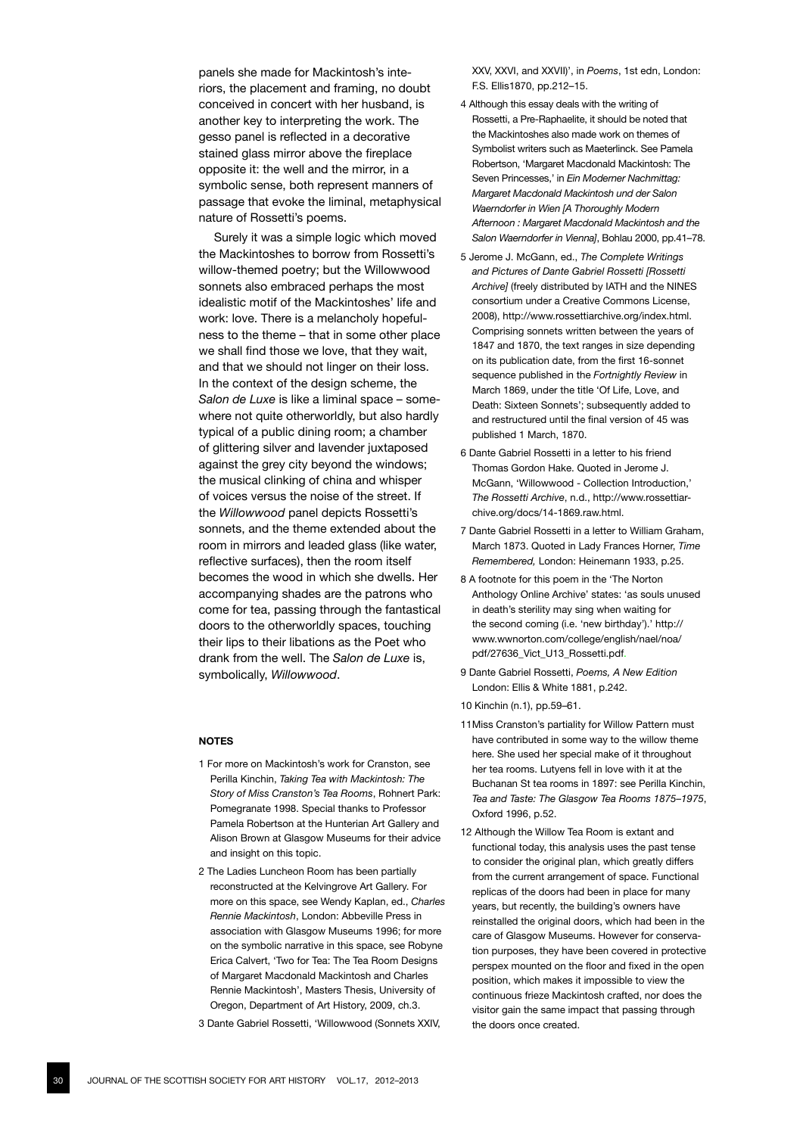panels she made for Mackintosh's interiors, the placement and framing, no doubt conceived in concert with her husband, is another key to interpreting the work. The gesso panel is reflected in a decorative stained glass mirror above the fireplace opposite it: the well and the mirror, in a symbolic sense, both represent manners of passage that evoke the liminal, metaphysical nature of Rossetti's poems.

Surely it was a simple logic which moved the Mackintoshes to borrow from Rossetti's willow-themed poetry; but the Willowwood sonnets also embraced perhaps the most idealistic motif of the Mackintoshes' life and work: love. There is a melancholy hopefulness to the theme – that in some other place we shall find those we love, that they wait, and that we should not linger on their loss. In the context of the design scheme, the *Salon de Luxe* is like a liminal space – somewhere not quite otherworldly, but also hardly typical of a public dining room; a chamber of glittering silver and lavender juxtaposed against the grey city beyond the windows; the musical clinking of china and whisper of voices versus the noise of the street. If the *Willowwood* panel depicts Rossetti's sonnets, and the theme extended about the room in mirrors and leaded glass (like water, reflective surfaces), then the room itself becomes the wood in which she dwells. Her accompanying shades are the patrons who come for tea, passing through the fantastical doors to the otherworldly spaces, touching their lips to their libations as the Poet who drank from the well. The *Salon de Luxe* is, symbolically, *Willowwood*.

#### **NOTES**

- 1 For more on Mackintosh's work for Cranston, see Perilla Kinchin, *Taking Tea with Mackintosh: The Story of Miss Cranston's Tea Rooms*, Rohnert Park: Pomegranate 1998. Special thanks to Professor Pamela Robertson at the Hunterian Art Gallery and Alison Brown at Glasgow Museums for their advice and insight on this topic.
- 2 The Ladies Luncheon Room has been partially reconstructed at the Kelvingrove Art Gallery. For more on this space, see Wendy Kaplan, ed., *Charles Rennie Mackintosh*, London: Abbeville Press in association with Glasgow Museums 1996; for more on the symbolic narrative in this space, see Robyne Erica Calvert, 'Two for Tea: The Tea Room Designs of Margaret Macdonald Mackintosh and Charles Rennie Mackintosh', Masters Thesis, University of Oregon, Department of Art History, 2009, ch.3.
- 3 Dante Gabriel Rossetti, 'Willowwood (Sonnets XXIV,

XXV, XXVI, and XXVII)', in *Poems*, 1st edn, London: F.S. Ellis1870, pp.212–15.

- 4 Although this essay deals with the writing of Rossetti, a Pre-Raphaelite, it should be noted that the Mackintoshes also made work on themes of Symbolist writers such as Maeterlinck. See Pamela Robertson, 'Margaret Macdonald Mackintosh: The Seven Princesses,' in *Ein Moderner Nachmittag: Margaret Macdonald Mackintosh und der Salon Waerndorfer in Wien [A Thoroughly Modern Afternoon : Margaret Macdonald Mackintosh and the Salon Waerndorfer in Vienna]*, Bohlau 2000, pp.41–78.
- 5 Jerome J. McGann, ed., *The Complete Writings and Pictures of Dante Gabriel Rossetti [Rossetti Archive]* (freely distributed by IATH and the NINES consortium under a Creative Commons License, 2008), http://www.rossettiarchive.org/index.html. Comprising sonnets written between the years of 1847 and 1870, the text ranges in size depending on its publication date, from the first 16-sonnet sequence published in the *Fortnightly Review* in March 1869, under the title 'Of Life, Love, and Death: Sixteen Sonnets'; subsequently added to and restructured until the final version of 45 was published 1 March, 1870.
- 6 Dante Gabriel Rossetti in a letter to his friend Thomas Gordon Hake. Quoted in Jerome J. McGann, 'Willowwood - Collection Introduction,' *The Rossetti Archive*, n.d., http://www.rossettiarchive.org/docs/14-1869.raw.html.
- 7 Dante Gabriel Rossetti in a letter to William Graham, March 1873. Quoted in Lady Frances Horner, *Time Remembered,* London: Heinemann 1933, p.25.
- 8 A footnote for this poem in the 'The Norton Anthology Online Archive' states: 'as souls unused in death's sterility may sing when waiting for the second coming (i.e. 'new birthday').' http:// www.wwnorton.com/college/english/nael/noa/ pdf/27636\_Vict\_U13\_Rossetti.pdf.
- 9 Dante Gabriel Rossetti, *Poems, A New Edition* London: Ellis & White 1881, p.242.
- 10 Kinchin (n.1), pp.59–61.
- 11Miss Cranston's partiality for Willow Pattern must have contributed in some way to the willow theme here. She used her special make of it throughout her tea rooms. Lutyens fell in love with it at the Buchanan St tea rooms in 1897: see Perilla Kinchin, *Tea and Taste: The Glasgow Tea Rooms 1875–1975*, Oxford 1996, p.52.
- 12 Although the Willow Tea Room is extant and functional today, this analysis uses the past tense to consider the original plan, which greatly differs from the current arrangement of space. Functional replicas of the doors had been in place for many years, but recently, the building's owners have reinstalled the original doors, which had been in the care of Glasgow Museums. However for conservation purposes, they have been covered in protective perspex mounted on the floor and fixed in the open position, which makes it impossible to view the continuous frieze Mackintosh crafted, nor does the visitor gain the same impact that passing through the doors once created.